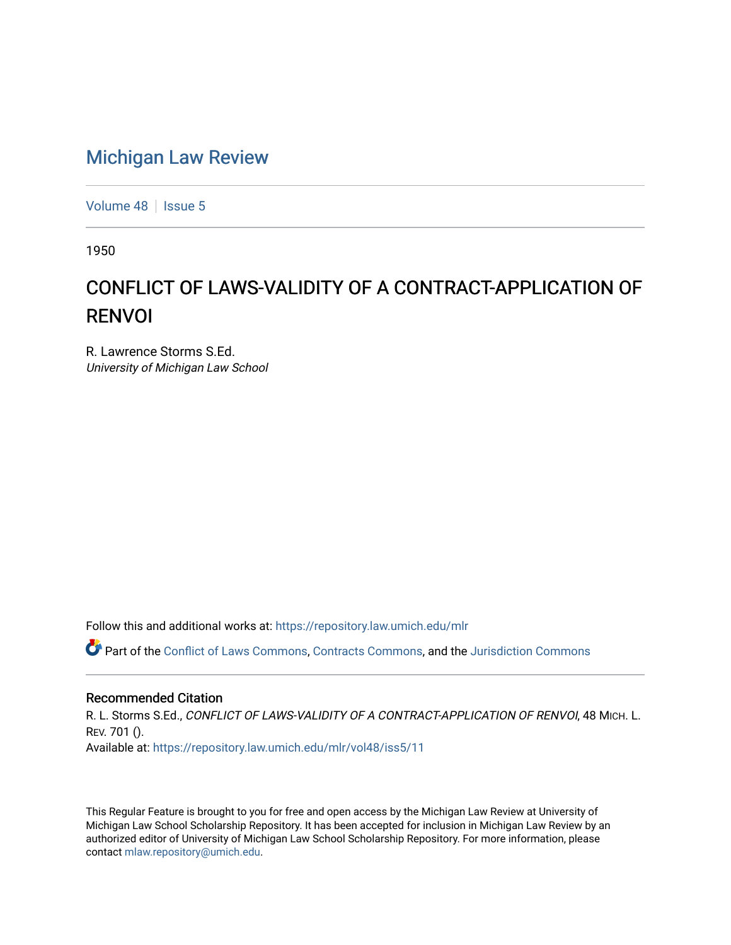## [Michigan Law Review](https://repository.law.umich.edu/mlr)

[Volume 48](https://repository.law.umich.edu/mlr/vol48) | [Issue 5](https://repository.law.umich.edu/mlr/vol48/iss5)

1950

## CONFLICT OF LAWS-VALIDITY OF A CONTRACT-APPLICATION OF RENVOI

R. Lawrence Storms S.Ed. University of Michigan Law School

Follow this and additional works at: [https://repository.law.umich.edu/mlr](https://repository.law.umich.edu/mlr?utm_source=repository.law.umich.edu%2Fmlr%2Fvol48%2Fiss5%2F11&utm_medium=PDF&utm_campaign=PDFCoverPages) 

Part of the [Conflict of Laws Commons,](http://network.bepress.com/hgg/discipline/588?utm_source=repository.law.umich.edu%2Fmlr%2Fvol48%2Fiss5%2F11&utm_medium=PDF&utm_campaign=PDFCoverPages) [Contracts Commons](http://network.bepress.com/hgg/discipline/591?utm_source=repository.law.umich.edu%2Fmlr%2Fvol48%2Fiss5%2F11&utm_medium=PDF&utm_campaign=PDFCoverPages), and the [Jurisdiction Commons](http://network.bepress.com/hgg/discipline/850?utm_source=repository.law.umich.edu%2Fmlr%2Fvol48%2Fiss5%2F11&utm_medium=PDF&utm_campaign=PDFCoverPages) 

## Recommended Citation

R. L. Storms S.Ed., CONFLICT OF LAWS-VALIDITY OF A CONTRACT-APPLICATION OF RENVOI, 48 MICH. L. REV. 701 (). Available at: [https://repository.law.umich.edu/mlr/vol48/iss5/11](https://repository.law.umich.edu/mlr/vol48/iss5/11?utm_source=repository.law.umich.edu%2Fmlr%2Fvol48%2Fiss5%2F11&utm_medium=PDF&utm_campaign=PDFCoverPages) 

This Regular Feature is brought to you for free and open access by the Michigan Law Review at University of Michigan Law School Scholarship Repository. It has been accepted for inclusion in Michigan Law Review by an authorized editor of University of Michigan Law School Scholarship Repository. For more information, please contact [mlaw.repository@umich.edu](mailto:mlaw.repository@umich.edu).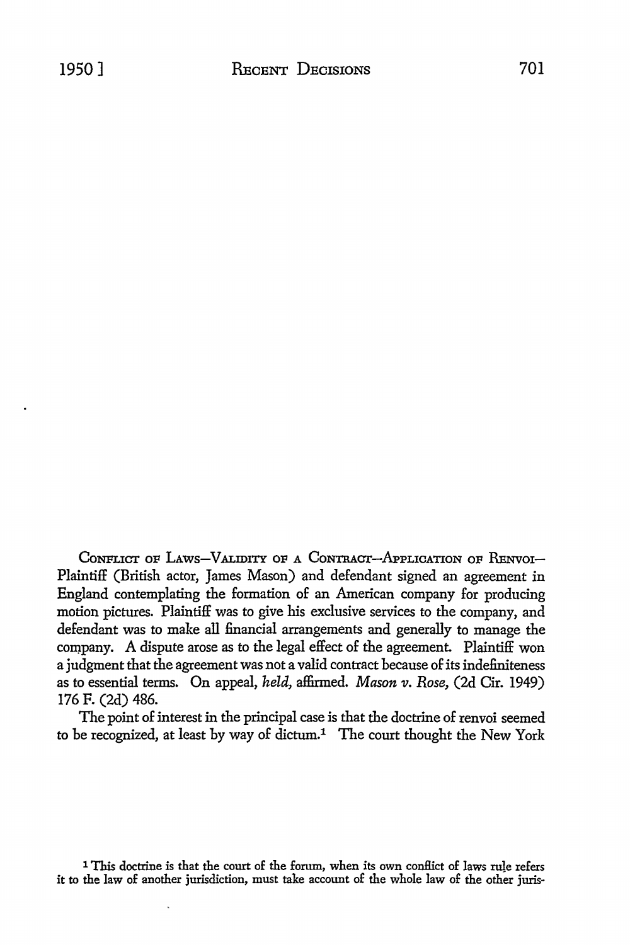CONFLICT OF LAWS-VALIDITY OF A CONTRACT-APPLICATION OF RENVOI-Plaintiff (British actor, James Mason) and defendant signed an agreement in England contemplating the formation of an American company for producing motion pictures. Plaintiff was to give his exclusive services to the company, and defendant was to make all financial arrangements and generally to manage the company. A dispute arose as to the legal effect of the agreement. Plaintiff won a judgment that the agreement was not a valid contract because of its indefiniteness as to essential terms. On appeal, *held,* affirmed. *Mason v. Rose,* (2d Cir. 1949) 176 F. (2d) 486.

The point of interest in the principal case is that the doctrine of renvoi seemed to be recognized, at least by way of dictum.<sup>1</sup> The court thought the New York

1 This doctrine is that the court of the forum, when its own conflict of laws rule refers it to the law of another jurisdiction, must take account of the whole law of the other juris-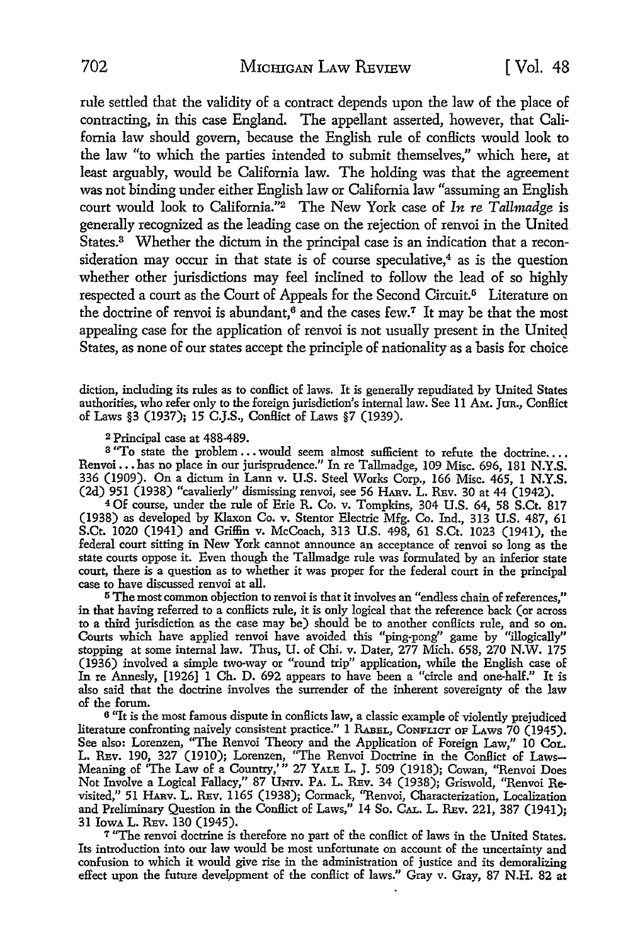rule settled that the validity of a contract depends upon the law of the place of contracting, in this case England. The appellant asserted, however, that California law should govern, because the English rule of conflicts would look to the law "to which the parties intended to submit themselves," which here, at least arguably, would be California law. The holding was that the agreement was not binding under either English law or California law "assuming an English court would look to California."2 The New York case of *In re Tallmadge* is generally recognized as the leading case on the rejection of renvoi in the United States.3 Whether the dictum in the principal case is an indication that a reconsideration may occur in that state is of course speculative, $4$  as is the question whether other jurisdictions may feel inclined to follow the lead of so highly respected a court as the Court of Appeals for the Second Circuit.<sup>5</sup> Literature on the doctrine of renvoi is abundant, $6$  and the cases few.<sup>7</sup> It may be that the most appealing case for the application of renvoi is not usually present in the United States, as none of our states accept the principle of nationality as a basis for choice

diction, including its rules as to conflict of laws. It is generally repudiated by United States authorities, who refer only to the foreign jurisdiction's internal law. See 11 Am. JUR., Conflict of Laws §3 (1937); 15 C.J.S., Conflict of Laws §7 (1939).

<sup>2</sup>Principal case at 488-489.

<sup>3</sup> "To state the problem ... would seem almost sufficient to refute the doctrine... Renvoi ••• has no place in our jurisprudence." In re Tallmadge, 109 Misc. 696, 181 N.Y.S. 336 (1909). On a dictum in Lann v. U.S. Steel Works Corp., 166 Misc. 465, 1 N.Y.S. (2d) 951 (1938) "cavalierly" dismissing renvoi, see 56 HARv. L. REv. 30 at 44 (1942).

<sup>4</sup>Of course, under the rule of Erie R. Co. v. Tompkins, 304 U.S. 64, 58 S.Ct. 817 (1938) as developed by Klaxon Co. v. Stentor Electric Mfg. Co. Ind., 313 U.S. 487, 61 S.Ct. 1020 (1941) and Griffin v. McCoach, 313 U.S. 498, 61 S.Ct. 1023 (1941), the federal court sitting in New York cannot announce an acceptance of renvoi so long as the state courts oppose it. Even though the Tallmadge rule was formulated by an inferior state court, there is a question as to whether it was proper for the federal court in the principal case to have discussed renvoi at all.

<sup>5</sup>The most common objection to renvoi is that it involves an "endless chain of references," in that having referred to a conflicts rule, it is only logical that the reference back (or across to a third jurisdiction as the case may be) should be to another conflicts rule, and so on. Courts which have applied renvoi have avoided this "ping-pong" game by "illogically" stopping at some internal law. Thus, U. of Chi. v. Dater, 277 Mich. 658, 270 N.W. 175 (1936) involved a simple two-way or "round trip" application, while the English case of In re Annesly, [1926] 1 Ch. D. 692 appears to have been a "circle and one-half." It is also said that the doctrine involves the surrender of the inherent sovereignty of the law of the forum.

<sup>6</sup> "It is the most famous dispute in conflicts law, a classic example of violently prejudiced literature confronting naively consistent practice." 1 RABEL, CONFLICT OF LAws 70 (1945). See also: Lorenzen, "The Renvoi Theory and the Application of Foreign Law," 10 CoL. L. REv. 190, 327 (1910); Lorenzen, "The Renvoi Doctrine in the Conflict of Laws-Meaning of 'The Law of a Country,'" 27 YALE L. J. 509 (1918); Cowan, "Renvoi Does Not Involve a Logical Fallacy," 87 Umv. PA. L. REv. 34 (1938); Griswold, "Renvoi Revisited," 51 HARv. L. REv. 1165 (1938); Cormack, "Renvoi, Characterization, Localization and Preliminary Question in the Conflict of Laws," 14 So. CAL. L. REv. 221, 387 (1941); 31 IowA L. REv. 130 (1945).

<sup>7</sup>"The renvoi doctrine is therefore no part of the conllict of laws in the United States. Its introduction into our law would be most unfortunate on account of the uncertainty and confusion to which it would give rise in the administration of justice and its demoralizing effect upon the future development of the conflict of laws." Gray v. Gray, 87 N.H. 82 at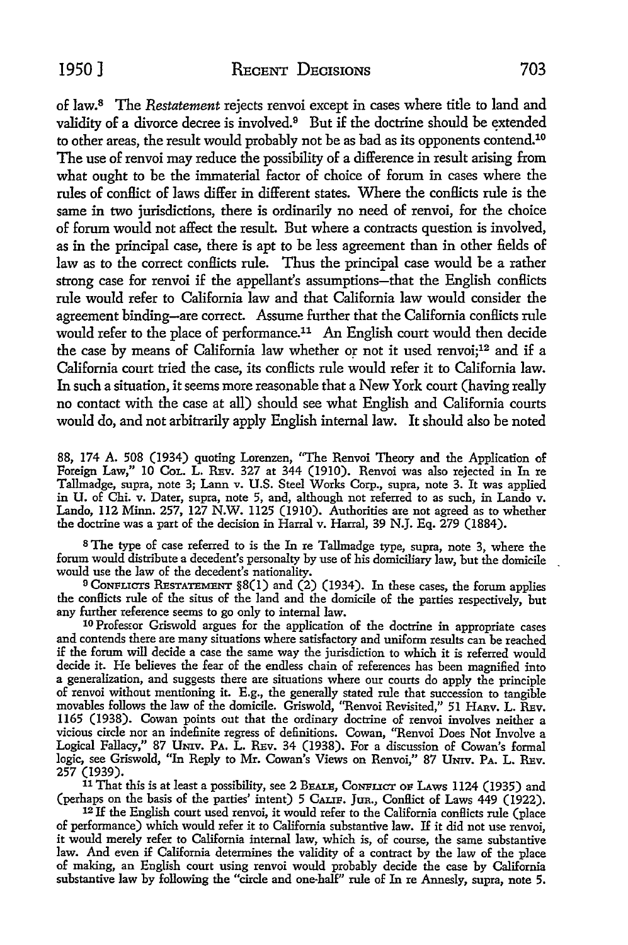of law. 8 The *Restatement* rejects renvoi except in cases where title to land and validity of a divorce decree is involved.<sup>9</sup> But if the doctrine should be extended to other areas, the result would probably not be as bad as its opponents contend.10 The use of renvoi may reduce the possibility of a difference in result arising from what ought to be the immaterial factor of choice of forum in cases where the rules of conflict of laws differ in different states. Where the conflicts rule is the same in two jurisdictions, there is ordinarily no need of renvoi, for the choice of forum would not affect the result. But where a contracts question is involved, as in the principal case, there is apt to be less agreement than in other fields of law as to the correct conflicts rule. Thus the principal case would be a rather strong case for renvoi if the appellant's assumptions-that the English conflicts rule would refer to California law and that California law would consider the agreement binding-are correct. Assume further that the California conflicts rule would refer to the place of performance.<sup>11</sup> An English court would then decide the case by means of California law whether or not it used renvoi;<sup>12</sup> and if a California court tried the case, its conflicts rule would refer it to California law. In such a situation, it seems more reasonable that a New York court (having really no contact with the case at all) should see what English and California courts would do, and not arbitrarily apply English internal law. It should also be noted

88, 174 A. 508 (1934) quoting Lorenzen, "The Renvoi Theory and the Application of Foreign Law," IO CoL. L. REv. 327 at 344 (1910). Renvoi was also rejected in In re Tallmadge, supra, note 3; Lann v. U.S. Steel Works Corp., supra, note 3. It was applied in U. of Chi. v. Dater, supra, note 5, and, although not referred to as such, in Lando v. Lando, 112 Minn. 257, 127 N.W. 1125 (1910). Authorities are not agreed as to whether the doctrine was a part of the decision in Harral v. Harral, 39 N.J. Eq. 279 (1884).

<sup>8</sup>The type of case referred to is the In re Tallmadge type, supra, note 3, where the forum would distribute a decedent's personalty by use of his domiciliary law, but the domicile would use the law of the decedent's nationality.

<sup>9</sup>CoNFLICTS RESTATEMENT §8(1) and (2) (1934). In these cases, the forum applies the conflicts rule of the situs of the land and the domicile of the patties respectively, but any further reference seems to go only to internal law.

<sup>10</sup> Professor Griswold argues for the application of the doctrine in appropriate cases and contends there are many situations where satisfactory and uniform results can be reached if the forum will decide a case the same way the jurisdiction to which it is referred would decide it. He believes the fear of the endless chain of references has been magnified into a generalization, and suggests there are situations where our courts do apply the principle of renvoi without mentioning it. E.g., the generally stated rule that succession to tangible movables follows the law of the domicile. Griswold, "Renvoi Revisited," 51 HARv. L. REv. 1165 (1938). Cowan points out that the ordinary doctrine of renvoi involves neither a vicious circle nor an indefinite regress of definitions. Cowan, ''Renvoi Does Not Involve a Logical Fallacy,'' 87 UNIV. PA. L. REv. 34 (1938). For a discussion of Cowan's formal logic, see Griswold, "In Reply to Mr. Cowan's Views on Renvoi," 87 UNIV. PA. L. REV. 257 (1939).

11 That this is at least a possibility, see 2 BEALE, CoNFLICT OF LAws 1124 (1935) and (perhaps on the basis of the parties' intent) 5 CALIF. JUR., Conflict of Laws 449 (1922).

<sup>12</sup>If the English court used renvoi, it would refer to the California conflicts rule (place of performance) which would refer it to California substantive law. If it did not use renvoi, it would merely refer to California internal law, which is, of course, the same substantive law. And even if California determines the validity of a contract by the law of the place of making, an English court using renvoi would probably decide the case by California substantive law by following the "circle and one-half" rule of In re Annesly, supra, note 5.